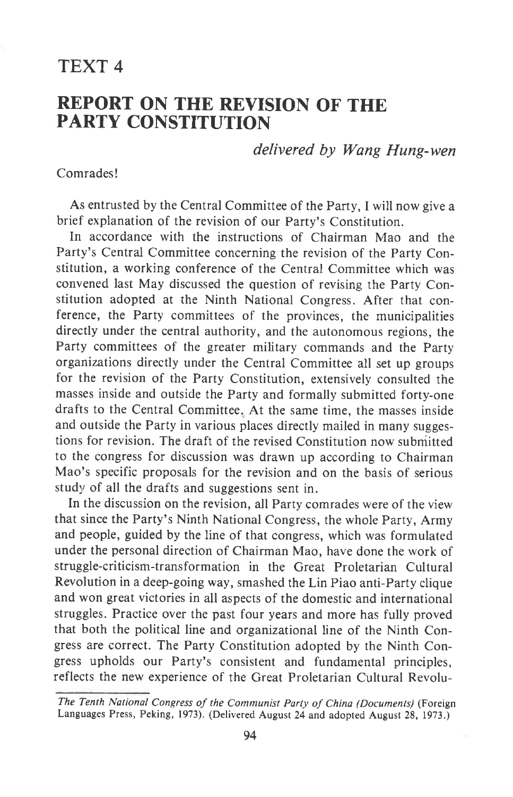## TEXT 4

## REPORT ON THE REVISION OF THE PARTY CONSTITUTION

delivered by Wang Hung-wen

Comrades!

As entrusted by the Central Committee of the Party, I will now give a brief explanation of the revision of our Party's Constitution.

In accordance with the instructions of Chairman Mao and the Party's Central Committee concerning the revision of the Party Constitution, a working conference of the Central Committee which was convened last May discussed the question of revising the Party Constitution adopted at the Ninth National Congress. After that conference, the Party committees of the provinces, the municipalities directly under the central authority, and the autonomous regions, the Party committees of the greater military commands and the Party organizations directly under the Central Committee all set up groups for the revision of the Party Constitution, extensively consulted the masses inside and outside the Party and formally submitted forty-one drafts to the Central Committee. At the same time, the masses inside and outside the Party in various places directly mailed in many suggestions for revision. The draft of the revised Constitution now subniitted to the congress for discussion was drawn up according to Chairman Mao's specific proposals for the revision and on the basis of serious study of all the drafts and suggestions sent in.

In the discussion on the revision, all Party comrades were of the view that since the Party's Ninth National Congress, the whole Party, Army and people, guided by the line of that congress, which was formulated under the personal direction of Chairman Mao, have done the work of struggle-criticism-transformation in the Great Proletarian Cultural Revolution in a deep-going way, smashed the Lin Piao anti-Party clique and won great victories in all aspects of the domestic and international struggles. Practice over the past four years and more has fully proved that both the political line and organizational line of the Ninth Congress are correct. The Party Constitution adopted by the Ninth Congress upholds our Party's consistent and fundamental principles, reflects the new experience of the Great Proletarian Cultural Revolu-

The Tenth National Congress of the Communist Party of China (Documents) (Foreign Languages Press, Peking, 1973). (Delivered August 24 and adopted August 28, 1973.)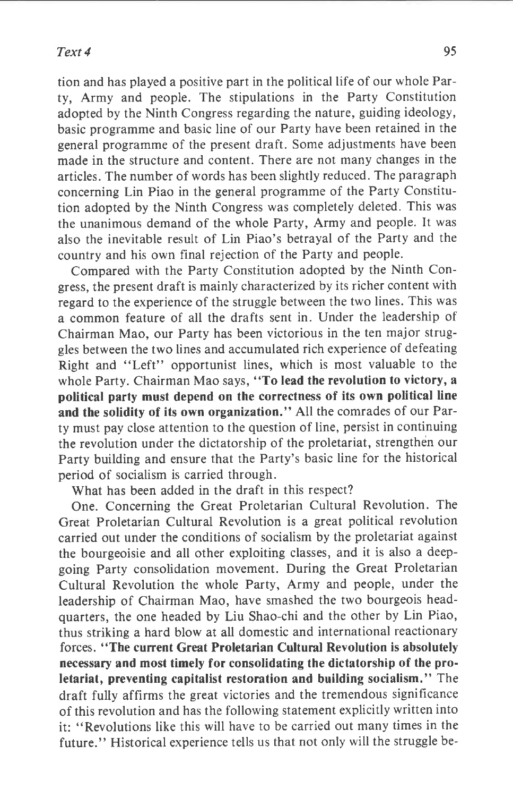tion and has played a positive part in the political life of our whole Party, Army and people. The stipulations in the Party Constitution adopted by the Ninth Congress regarding the nature, guiding ideology, basic programme and basic line of our Party have been retained in the general programme of the present draft. Some adjustments have been made in the structure and content. There are not many changes in the articles. The number of words has been slightly reduced. The paragraph concerning Lin Piao in the general programme of the Party Constitution adopted by the Ninth Congress was completely deleted. This was the unanimous demand of the whole Party, Army and people. It was also the inevitable result of Lin Piao's betrayal of the Party and the country and his own final rejection of the Party and people.

Compared with the Party Constitution adopted by the Ninth Congress, the present draft is mainly characterized by its richer content with regard to the experience of the struggle between the two lines. This was a common feature of all the drafts sent in. Under the leadership of Chairman Mao, our Party has been victorious in the ten major struggles between the two lines and accumulated rich experience of defeating Right and "Left" opportunist lines, which is most valuable to the whole Party. Chairman Mao says, "To lead the revolution to victory, a politicat party must depend on the correctness of its own political line and the solidity of its own organization." All the comrades of our Party must pay close attention to the question of line, persist in continuing the revolution under the dictatorship of the proletariat, strengthen our Party building and ensure that the Party's basic line for the historical period of socialism is carried through.

What has been added in the draft in this respect?

One. Concerning the Great Proletarian Cultural Revolution. The Great Proletarian Cultural Revolution is a great political revolution carried out under the conditions of socialism by the proletariat against the bourgeoisie and all other exploiting classes, and it is also a deepgoing Party consolidation movement. During the Great Proletarian Cultural Revolution the whole Party, Army and people, under the leadership of Chairman Mao, have smashed the two bourgeois headquarters, the one headed by Liu Shao-chi and the other by Lin Piao, thus striking a hard blow at all domestic and international reactionary forces. "The current Great Proletarian Cultural Revolution is absolutely necessary and most timely for consolidating the dictatorship of the proletariat, preventing capitalist restoration and building socialism." The draft fully affirms the great victories and the tremendous significance of this revolution and has the following statement explicitly written into it: "Revolutions like this will have to be carried out many times in the future." Historical experience tells us that not only will the struggle be-

Text 4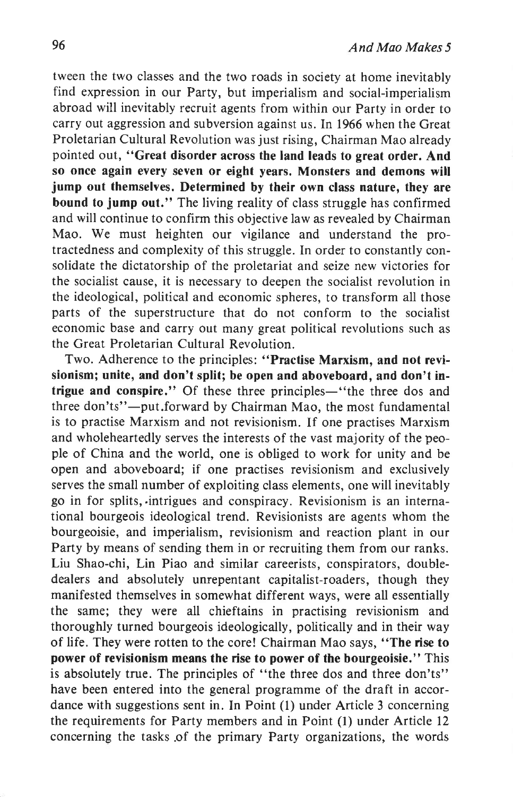tween the two classes and the two roads in society at home inevitably find expression in our Party, but imperialism and social-imperialism abroad will inevitably recruit agents from within our Party in order to carry out aggression and subversion against us. In 1966 when the Great Proletarian Cultural Revolution was just rising, Chairman Mao already pointed out, "Great disorder across the land leads to great order. And so once again every seven or eight years. Monsters and demons will jump out themselves. Determined by their own class nature, they are bound to jump out." The living reality of class struggle has confirmed and will continue to confirm this objective law as revealed by Chairman Mao. We must heighten our vigilance and understand the protractedness and complexity of this struggle. In order to constantly consolidate the dictatorship of the proletariat and seize new victories for the socialist cause, it is necessary to deepen the socialist revolution in the ideological, political and economic spheres, to transform all those parts of the superstructure that do not conform to the socialist economic base and carry out many great political revolutions such as the Great Proletarian Cultural Revolution.

Two. Adherence to the principles: "Practise Marxism, and not revisionism; unite, and don't split; be open and aboveboard, and don't intrigue and conspire." Of these three principles—"the three dos and three don'ts"-put.forward by Chairman Mao, the most fundamental is to practise Marxism and not revisionism. If one practises Marxism and wholeheartedly serves the interests of the vast majority of the people of China and the world, one is obliged to work for unity and be open and aboveboard; if one practises revisionism and exclusively serves the small number of exploiting class elements, one will inevitably go in for splits, intrigues and conspiracy. Revisionism is an international bourgeois ideological trend. Revisionists are agents whom the bourgeoisie, and imperialism, revisionism and reaction plant in our Party by means of sending them in or recruiting them from our ranks. Liu Shao-chi, Lin Piao and similar careerists, conspirators, doubledealers and absolutely unrepentant capitalist-roaders, though they manifested themselves in somewhat different ways, were all essentially the same; they were all chieftains in practising revisionism and thoroughly turned bourgeois ideologically, politically and in their way of life. They were rotten to the core! Chairman Mao says, "The rise to power of revisionism means the rise to power of the bourgeoisie." This is absolutely true. The principles of "the three dos and three don'ts" have been entered into the general programme of the draft in accordance with suggestions sent in. In Point (l) under Article 3 concerning the requirements for Party members and in Point (l) under Article <sup>12</sup> concerning the tasks .of the primary Party organizations, the words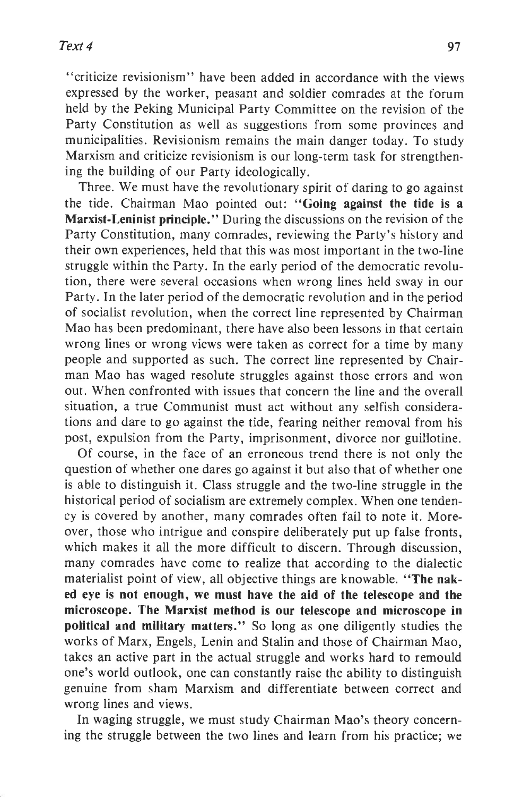"criticize revisionism" have been added in accordance with the views expressed by the worker, peasant and soldier comrades at the forum held by the Peking Municipal Party Committee on the revision of the Party Constitution as well as suggestions from some provinces and municipalities. Revisionism remains the main danger today. To study Marxism and criticize revisionism is our long-term task for strengthening the building of our Party ideologically.

Three. We must have the revolutionary spirit of daring to go against the tide. Chairman Mao pointed out: "Going against the tide is <sup>a</sup> Marxist-Leninist principle." During the discussions on the revision of the Party Constitution, many comrades, reviewing the Party's history and their own experiences, held that this was most important in the two-line struggle within the Party. In the early period of the democratic revolution, there were several occasions when wrong lines held sway in our Party. In the later period of the democratic revolution and in the period of socialist revolution, when the correct line represented by Chairman Mao has been predominant, there have also been lessons in that certain wrong lines or wrong views were taken as correct for a time by many people and supported as such. The correct line represented by Chairman Mao has waged resolute struggles against those errors and won out. When confronted with issues that concern the line and the overall situation, a true Communist must act without any selfish considerations and dare to go against the tide, fearing neither removal from his post, expulsion from the Party, imprisonment, divorce nor guil'lotine.

Of course, in the face of an erroneous trend there is not only the question of whether one dares go against it but also that of whether one is able to distinguish it. Class struggle and the two-line struggle in the historical period of socialism are extremely complex. When one tendency is covered by another, many comrades often fail to note it. Moreover, those who intrigue and conspire deliberately put up false fronts, which makes it all the more difficult to discern. Through discussion, many comrades have come to realize that according to the dialectic materialist point of view, all objective things are knowable. "The naked eye is not enough, we musl have the aid of the telescope and the microscope. The Marxist method is our telescope and microscope in political and military matters." So long as one diligently studies the works of Marx, Engels, Lenin and Stalin and those of Chairman Mao, takes an active part in the actual struggle and works hard to remould one's world outlook, one can constantly raise the ability to distinguish genuine from sham Marxism and differentiate between correct and wrong lines and views.

In waging struggle, we must study Chairman Mao's theory concerning the struggle between the two lines and learn from his practice; we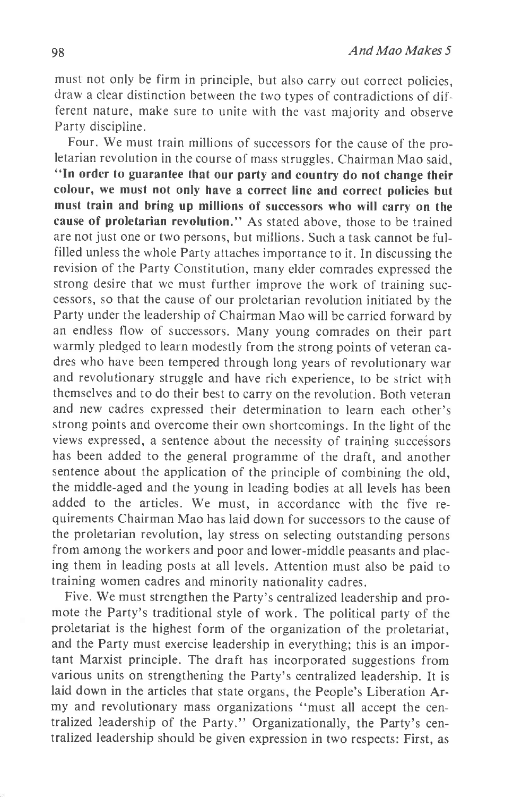musl not only be firm in principle, but also carry out correct policies, draw a clear distinction between the two types of contradictions of different nature, make sure to unite with the vast majority and observe Party discipline.

Four. We must train millions of successors for the cause of the proletarian revolution in the course of mass struggles. Chairman Mao said, "In order to guarantee that our party and country do not change their colour, we must not only have a correct line and correct policies but must train and bring up millions of successors who will carry on the cause of proletarian revolution." As stated above, those to be trained are not just one or two persons, but millions. Such a task cannot be fulfilled unless the whole Party attaches importance to it. In discussing the revision of the Party Constitution, many elder comrades expressed the strong desire that we must further improve the work of training successors, so that the cause of our proletarian revolution initiated by the Party under the leadership of Chairman Mao will be carried forward by an endless flow of successors. Many young comrades on their part warmly pledged to learn modestly from the strong points of veteran cadres who have been tempered through long years of revolutionary war and revolutionary struggle and have rich experience, to be strict with themselves and to do their best to carry on the revolution. Both veteran and new cadres expressed their determination to learn each other's strong points and overcome their own shortcomings. In the light of the views expressed, a sentence about the necessity of training successors has been added to the general programme of the draft, and another sentence about the application of the principle of combining the old, the middle-aged and the young in leading bodies at all levels has been added to the articles. We must, in accordance with the five requirements Chairman Mao has laid down for successors to the cause of the proletarian revolution, lay stress on selecting outstanding persons from among the workers and poor and lower-middle peasants and placing them in leading posts at all levels. Attention must also be paid to training women cadres and minority nationality cadres.

Five. We must strengthen the Party's centralized leadership and promote the Party's traditional style of work. The political party of the proletariat is the highest form of the organization of the proletariat, and the Party must exercise leadership in everything; this is an important Marxist principle. The draft has incorporated suggestions from various units on strengthening the Party's centralized leadership. It is laid down in the articles that state organs, the People's Liberation Army and revolutionary mass organizations "must all accept the centralized leadership of the Party." Organizationally, the Party's centralized leadership should be given expression in two respects: First, as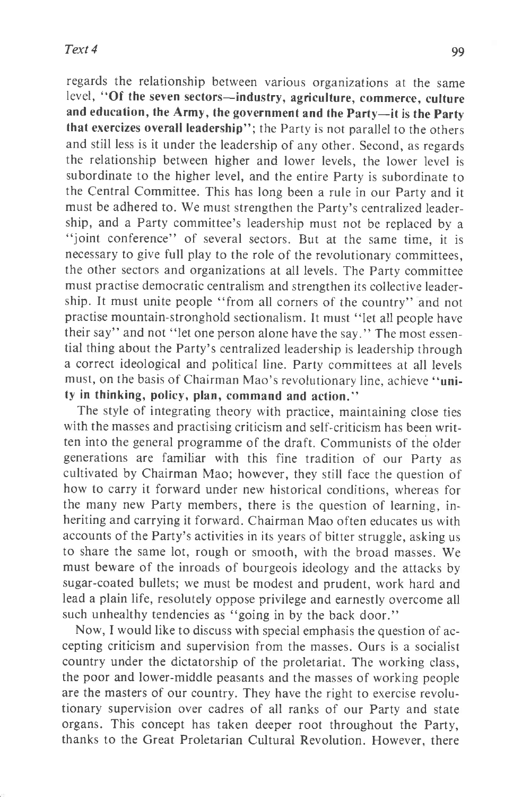regards the relationship between various organizations at the same level, "Of the seven sectors-industry, agriculture, commerce, culture and education, the Army, the government and the Party-it is the Party that exercizes overall leadership"; the Party is not parallel to the others and still less is it under the leadership of any other. Second, as regards the relationship between higher and lower levels, the lower level is subordinate to the higher level, and the entire Party is subordinate to the Central Committee. This has long been a rule in our Party and it must be adhered to. We must strengthen the Party's centralized leadership, and a Party committee's leadership must not be replaced by <sup>a</sup> "joint conference" of several sectors. But at the same time, it is necessary to give full play to the role of the revolutionary committees, the other sectors and organizations at all levels. The Party committee must practise democratic centralism and strengthen its collective leadership. It must unite people "from all corners of the country" and not practise mountain-stronghold sectionalism. It must "let all people have their say" and not "let one person alone have the say." The most essential thing about the Party's centralized leadership is leadership through a correct ideological and political line. Party committees at all levels must, on the basis of Chairman Mao's revolutionary line, achieve "unity in thinking, policy, plan, command and action."

The style of integrating theory with practice, maintaining close ties with the masses and practising criticism and self-criticism has been written into the general programme of the draft. Communists of the older generations are familiar with this fine tradition of our Party as cultivated by Chairman Mao; however, they still face the question of how to carry it forward under new historical conditions, whereas for the many new Party members, there is the question of learning, inheriting and carrying it forward. Chairman Mao often educates us with accounts of the Party's activities in its years of bitter struggle, asking us to share the same lot, rough or smooth, with the broad masses. We must beware of the inroads of bourgeois ideology and the attacks by sugar-coated bullets; we must be modest and prudent, work hard and lead a plain life, resolutely oppose privilege and earnestly overcome all such unhealthy tendencies as "going in by the back door."

Now, I would like to discuss with special emphasis the question of accepting criticism and supervision from the masses. Ours is a socialist country under the dictatorship of the proletariat. The working class, the poor and lower-middle peasants and the masses of working people are the masters of our country. They have the right to exercise revolutionary supervision over cadres of all ranks of our Party and state organs. This concept has taken deeper root throughout the Party, thanks to the Great Proletarian Cultural Revolution. However, there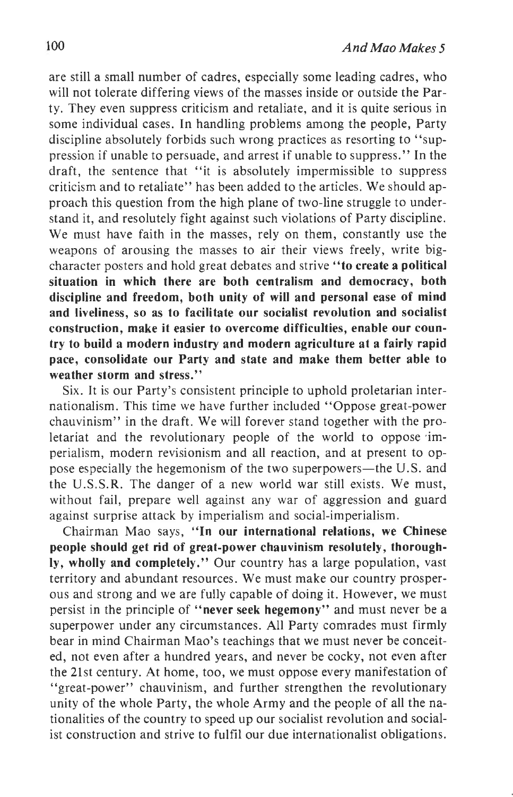are still a small number of cadres, especially some leading cadres, who will not tolerate differing views of the masses inside or outside the Party. They even suppress criticism and retaliate, and it is quite serious in some individual cases. In handling problems among the people, Party discipline absolutely forbids such wrong practices as resorting to "suppression if unable to persuade, and arrest if unable to suppress." In the draft, the sentence that "it is absolutely impermissible to suppress criticism and to retaliate" has been added to the articles. We should approach this question from the high plane of two-line struggle to understand it, and resolutely fight against such violations of Party discipline. We must have faith in the masses, rely on them, constantly use the weapons of arousing the masses to air their views freely, write bigcharacter posters and hold great debates and strive "to create a political situation in which there are both centralism and democracy, both discipline and freedom, both unity of will and personal ease of mind and liveliness, so as to facilitate our socialist revolution and socialist construction, make it easier to overcome difficulties, enable our country to build a modern industry and modern agriculture at a fairly rapid pace, consolidate our Party and state and make them better able to weather storm and stress."

Six. It is our Party's consistent principle to uphold proletarian internationalism. This time we have further included "Oppose great-power chauvinism" in the draft. We will forever stand together with the proletariat and the revolutionary people of the world to oppose 'imperialism, modern revisionism and all reaction, and at present to oppose especially the hegemonism of the two superpowers—the U.S. and the U.S.S.R. The danger of a new world war still exists. We must, without fail, prepare well against any war of aggression and guard against surprise attack by imperialism and social-imperialism.

Chairman Mao says, "In our international relations, we Chinese people should get rid of great-power chauvinism resolutely, thoroughly, wholly and completely." Our country has a large population, vast territory and abundant resources. We must make our country prosperous and strong and we are fully capable of doing it. However, we must persist in the principle of "never seek hegemony" and must never be a superpower under any circumstances. All Party comrades must firmly bear in mind Chairman Mao's teachings that we must never be conceited, not even after a hundred years, and never be cocky, not even after the 2lst century. At home, too, we must oppose every manifestation of "great-power" chauvinism, and further strengthen the revolutionary unity of the whole Party, the whole Army and the people of all the nationalities of the country to speed up our socialist revolution and socialist construction and strive to fulfil our due internationalist obligations.